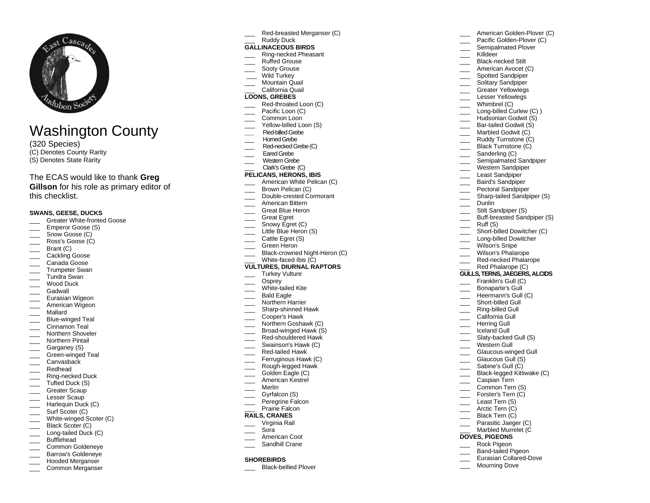

# Washington County

(320 Species) (C) Denotes County Rarity (S) Denotes State Rarity

# The ECAS would like to thank **Greg**

**Gillson** for his role as primary editor of this checklist.

## **SWANS, GEESE, DUCKS**

- Greater White-fronted Goose
- Emperor Goose (S)
- \_\_\_ Snow Goose (C)
- \_\_\_ Ross's Goose (C)
- $\qquad \qquad$  Brant (C)
- \_\_\_\_ Cackling Goose
- Canada Goose
- \_\_\_ Trumpeter Swan
- \_\_\_ Tundra Swan Wood Duck
- **Gadwall**
- 
- \_\_\_ Eurasian Wigeon \_\_\_ American Wigeon
- \_\_\_ Mallard
- Blue-winged Teal
- Cinnamon Teal
- \_\_\_ Northern Shoveler
- Northern Pintail
- Garganey (S)
- \_\_\_ Green-winged Teal
- \_\_\_ Canvasback
- \_\_\_ Redhead
- \_\_\_ Ring-necked Duck
- \_\_\_ Tufted Duck (S)
- \_\_\_ Greater Scaup
- \_\_\_ Lesser Scaup
- \_\_\_ Harlequin Duck (C)
- \_\_\_\_ Surf Scoter (C)
- White-winged Scoter (C)
- Black Scoter (C)
- Long-tailed Duck (C)
- **Bufflehead**
- Common Goldeneye
- \_\_\_ Barrow's Goldeneye Hooded Merganser
- Common Merganser
- Red-breasted Merganser (C)
- Ruddy Duck

# **GALLINACEOUS BIRDS**

- \_\_\_ Ring-necked Pheasant
- Ruffed Grouse
- Sooty Grouse
- Wild Turkey
- Mountain Quail \_\_\_ California Quail
- **LOONS, GREBES**
- Red-throated Loon (C)
- Pacific Loon (C)
- Common Loon
- Yellow-billed Loon (S)
- **\_\_\_** Pied-billed Grebe
- Horned Grebe
- Red-necked Grebe (C)
- Eared Grebe
- \_\_\_ Western Grebe
- \_\_\_ Clark's Grebe(C)
- **PELICANS, HERONS, IBIS**
- American White Pelican (C)
- Brown Pelican (C)
- \_\_\_ Double-crested Cormorant
- American Bittern
- Great Blue Heron
- Great Egret
- \_\_\_\_ Snowy Egret (C)
- Little Blue Heron (S)
- Cattle Egret (S)
- Green Heron
- \_\_\_ Black-crowned Night-Heron (C) White-faced Ibis (C)
- **VULTURES, DIURNAL RAPTORS**
- Turkey Vulture
- Osprey
- White-tailed Kite
- Bald Eagle
- Northern Harrier
- \_\_\_ Sharp-shinned Hawk
- \_\_\_ Cooper's Hawk
- Northern Goshawk (C)
- Broad-winged Hawk (S) Red-shouldered Hawk
- Swainson's Hawk (C)
- \_\_\_ Red-tailed Hawk
- Ferruginous Hawk (C)
- Rough-legged Hawk
- Golden Eagle (C)
- American Kestrel
- \_\_\_ Merlin
- Gyrfalcon (S)
- Peregrine Falcon
- Prairie Falcon

## **RAILS, CRANES**

- \_\_\_ Virginia Rail
- \_\_\_ Sora
- American Coot
- Sandhill Crane

### **SHOREBIRDS**

Black-bellied Plover

- American Golden-Plover (C)
- Pacific Golden-Plover (C) Semipalmated Plover

Killdeer \_\_\_ Black-necked Stilt American Avocet (C) Spotted Sandpiper Solitary Sandpiper Greater Yellowlegs \_\_\_ Lesser Yellowlegs Whimbrel (C) Long-billed Curlew (C) ) Hudsonian Godwit (S) Bar-tailed Godwit (S) Marbled Godwit (C) Ruddy Turnstone (C) Black Turnstone (C) Sanderling (C) \_\_\_ Semipalmated Sandpiper Western Sandpiper Least Sandpiper Baird's Sandpiper Pectoral Sandpiper \_\_\_ Sharp-tailed Sandpiper (S)

Dunlin

 $\frac{\ }{\ }$  Ruff (S)

Stilt Sandpiper (S) Buff-breasted Sandpiper (S)

Short-billed Dowitcher (C) Long-billed Dowitcher Wilson's Snipe Wilson's Phalarope \_\_\_\_ Red-necked Phalarope Red Phalarope (C) **GULLS, TERNS, JAEGERS, ALCIDS** Franklin's Gull (C) \_\_\_ Bonaparte's Gull **Heermann's Gull (C)** Short-billed Gull Ring-billed Gull \_\_\_ California Gull \_\_\_ Herring Gull \_\_\_ Iceland Gull Slaty-backed Gull (S) Western Gull \_\_\_ Glaucous-winged Gull \_\_\_ Glaucous Gull (S) Sabine's Gull (C) Black-legged Kittiwake (C)

\_\_\_ Caspian Tern Common Tern (S) Forster's Tern (C) Least Tern (S) \_\_\_\_ Arctic Tern (C) Black Tern (C) Parasitic Jaeger (C) Marbled Murrelet (C

**DOVES, PIGEONS** \_\_\_ Rock Pigeon Band-tailed Pigeon Eurasian Collared-Dove Mourning Dove